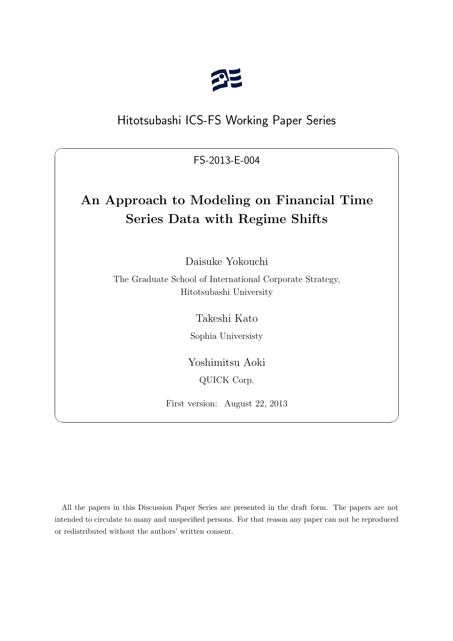

## Hitotsubashi ICS-FS Working Paper Series

FS-2013-E-004

 $\sqrt{2\pi}$ 

# **An Approach to Modeling on Financial Time Series Data with Regime Shifts**

Daisuke Yokouchi

The Graduate School of International Corporate Strategy, Hitotsubashi University

Takeshi Kato

Sophia Universisty

Yoshimitsu Aoki QUICK Corp.

First version: August 22, 2013

 $\qquad \qquad \blacksquare$ 

All the papers in this Discussion Paper Series are presented in the draft form. The papers are not intended to circulate to many and unspecified persons. For that reason any paper can not be reproduced or redistributed without the authors' written consent.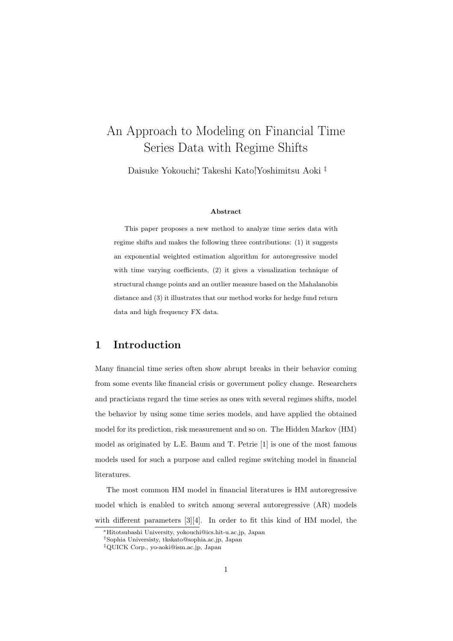## An Approach to Modeling on Financial Time Series Data with Regime Shifts

Daisuke Yokouchi*<sup>∗</sup>* , Takeshi Kato*†* ,Yoshimitsu Aoki *‡*

#### **Abstract**

This paper proposes a new method to analyze time series data with regime shifts and makes the following three contributions: (1) it suggests an exponential weighted estimation algorithm for autoregressive model with time varying coefficients, (2) it gives a visualization technique of structural change points and an outlier measure based on the Mahalanobis distance and (3) it illustrates that our method works for hedge fund return data and high frequency FX data.

#### **1 Introduction**

Many financial time series often show abrupt breaks in their behavior coming from some events like financial crisis or government policy change. Researchers and practicians regard the time series as ones with several regimes shifts, model the behavior by using some time series models, and have applied the obtained model for its prediction, risk measurement and so on. The Hidden Markov (HM) model as originated by L.E. Baum and T. Petrie [1] is one of the most famous models used for such a purpose and called regime switching model in financial literatures.

The most common HM model in financial literatures is HM autoregressive model which is enabled to switch among several autoregressive (AR) models with different parameters [3][4]. In order to fit this kind of HM model, the

*<sup>∗</sup>*Hitotsubashi University, yokouchi@ics.hit-u.ac.jp, Japan

*<sup>†</sup>*Sophia Universisty, tkskato@sophia.ac.jp, Japan

*<sup>‡</sup>*QUICK Corp., yo-aoki@ism.ac.jp, Japan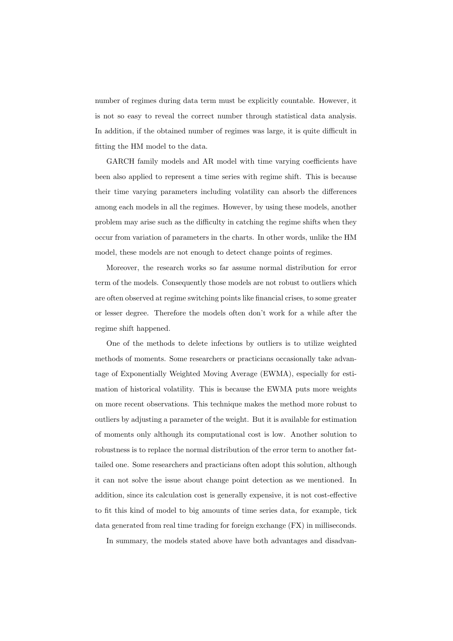number of regimes during data term must be explicitly countable. However, it is not so easy to reveal the correct number through statistical data analysis. In addition, if the obtained number of regimes was large, it is quite difficult in fitting the HM model to the data.

GARCH family models and AR model with time varying coefficients have been also applied to represent a time series with regime shift. This is because their time varying parameters including volatility can absorb the differences among each models in all the regimes. However, by using these models, another problem may arise such as the difficulty in catching the regime shifts when they occur from variation of parameters in the charts. In other words, unlike the HM model, these models are not enough to detect change points of regimes.

Moreover, the research works so far assume normal distribution for error term of the models. Consequently those models are not robust to outliers which are often observed at regime switching points like financial crises, to some greater or lesser degree. Therefore the models often don't work for a while after the regime shift happened.

One of the methods to delete infections by outliers is to utilize weighted methods of moments. Some researchers or practicians occasionally take advantage of Exponentially Weighted Moving Average (EWMA), especially for estimation of historical volatility. This is because the EWMA puts more weights on more recent observations. This technique makes the method more robust to outliers by adjusting a parameter of the weight. But it is available for estimation of moments only although its computational cost is low. Another solution to robustness is to replace the normal distribution of the error term to another fattailed one. Some researchers and practicians often adopt this solution, although it can not solve the issue about change point detection as we mentioned. In addition, since its calculation cost is generally expensive, it is not cost-effective to fit this kind of model to big amounts of time series data, for example, tick data generated from real time trading for foreign exchange (FX) in milliseconds.

In summary, the models stated above have both advantages and disadvan-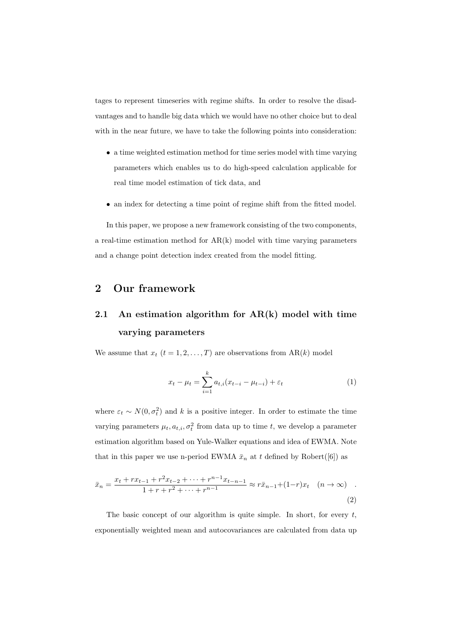tages to represent timeseries with regime shifts. In order to resolve the disadvantages and to handle big data which we would have no other choice but to deal with in the near future, we have to take the following points into consideration:

- *•* a time weighted estimation method for time series model with time varying parameters which enables us to do high-speed calculation applicable for real time model estimation of tick data, and
- an index for detecting a time point of regime shift from the fitted model.

In this paper, we propose a new framework consisting of the two components, a real-time estimation method for  $AR(k)$  model with time varying parameters and a change point detection index created from the model fitting.

### **2 Our framework**

## **2.1 An estimation algorithm for AR(k) model with time varying parameters**

We assume that  $x_t$   $(t = 1, 2, ..., T)$  are observations from  $AR(k)$  model

$$
x_t - \mu_t = \sum_{i=1}^k a_{t,i} (x_{t-i} - \mu_{t-i}) + \varepsilon_t \tag{1}
$$

where  $\varepsilon_t \sim N(0, \sigma_t^2)$  and *k* is a positive integer. In order to estimate the time varying parameters  $\mu_t, a_{t,i}, \sigma_t^2$  from data up to time *t*, we develop a parameter estimation algorithm based on Yule-Walker equations and idea of EWMA. Note that in this paper we use n-period EWMA  $\bar{x}_n$  at  $t$  defined by Robert([6]) as

$$
\bar{x}_n = \frac{x_t + rx_{t-1} + r^2 x_{t-2} + \dots + r^{n-1} x_{t-n-1}}{1 + r + r^2 + \dots + r^{n-1}} \approx r \bar{x}_{n-1} + (1-r)x_t \quad (n \to \infty)
$$
\n(2)

The basic concept of our algorithm is quite simple. In short, for every *t*, exponentially weighted mean and autocovariances are calculated from data up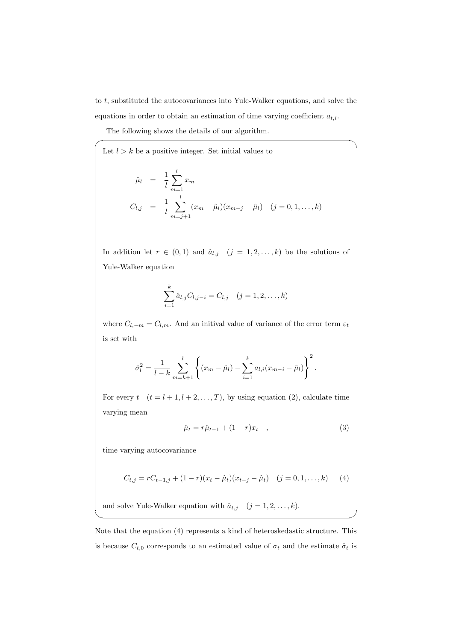to *t*, substituted the autocovariances into Yule-Walker equations, and solve the equations in order to obtain an estimation of time varying coefficient *at,i*.

The following shows the details of our algorithm.

 $\sqrt{2}$ 

Let 
$$
l > k
$$
 be a positive integer. Set initial values to  
\n
$$
\hat{\mu}_l = \frac{1}{l} \sum_{m=1}^l x_m
$$
\n
$$
C_{l,j} = \frac{1}{l} \sum_{m=j+1}^l (x_m - \hat{\mu}_l)(x_{m-j} - \hat{\mu}_l) \quad (j = 0, 1, ..., k)
$$

In addition let  $r \in (0,1)$  and  $\hat{a}_{l,j}$   $(j = 1,2,\ldots,k)$  be the solutions of Yule-Walker equation

$$
\sum_{i=1}^{k} \hat{a}_{l,j} C_{l,j-i} = C_{l,j} \quad (j = 1, 2, \dots, k)
$$

where  $C_{l,-m} = C_{l,m}$ . And an initival value of variance of the error term  $\varepsilon_t$ is set with

$$
\hat{\sigma}_l^2 = \frac{1}{l-k} \sum_{m=k+1}^l \left\{ (x_m - \hat{\mu}_l) - \sum_{i=1}^k a_{l,i} (x_{m-i} - \hat{\mu}_l) \right\}^2.
$$

For every  $t \quad (t = l + 1, l + 2, \ldots, T)$ , by using equation (2), calculate time varying mean

$$
\hat{\mu}_t = r\hat{\mu}_{t-1} + (1-r)x_t \quad , \tag{3}
$$

time varying autocovariance

$$
C_{t,j} = rC_{t-1,j} + (1-r)(x_t - \hat{\mu}_t)(x_{t-j} - \hat{\mu}_t) \quad (j = 0, 1, ..., k) \tag{4}
$$

 $\qquad \qquad \qquad$ 

and solve Yule-Walker equation with  $\hat{a}_{t,j}$   $(j = 1, 2, \ldots, k)$ .

Note that the equation (4) represents a kind of heteroskedastic structure. This is because  $C_{t,0}$  corresponds to an estimated value of  $\sigma_t$  and the estimate  $\hat{\sigma}_t$  is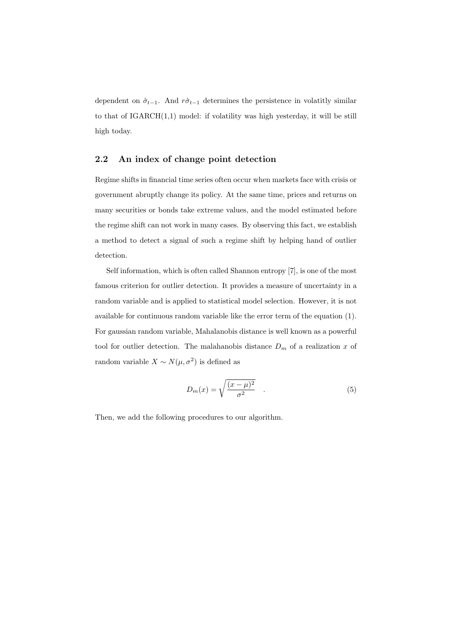dependent on  $\hat{\sigma}_{t-1}$ . And  $r\hat{\sigma}_{t-1}$  determines the persistence in volatitly similar to that of IGARCH(1,1) model: if volatility was high yesterday, it will be still high today.

#### **2.2 An index of change point detection**

Regime shifts in financial time series often occur when markets face with crisis or government abruptly change its policy. At the same time, prices and returns on many securities or bonds take extreme values, and the model estimated before the regime shift can not work in many cases. By observing this fact, we establish a method to detect a signal of such a regime shift by helping hand of outlier detection.

Self information, which is often called Shannon entropy [7], is one of the most famous criterion for outlier detection. It provides a measure of uncertainty in a random variable and is applied to statistical model selection. However, it is not available for continuous random variable like the error term of the equation (1). For gaussian random variable, Mahalanobis distance is well known as a powerful tool for outlier detection. The malahanobis distance  $D_m$  of a realization  $x$  of random variable  $X \sim N(\mu, \sigma^2)$  is defined as

$$
D_m(x) = \sqrt{\frac{(x-\mu)^2}{\sigma^2}} \quad . \tag{5}
$$

Then, we add the following procedures to our algorithm.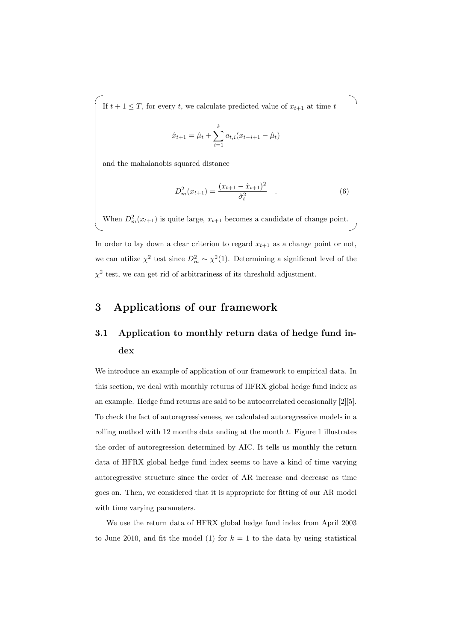If  $t + 1 \leq T$ , for every *t*, we calculate predicted value of  $x_{t+1}$  at time *t* 

$$
\hat{x}_{t+1} = \hat{\mu}_t + \sum_{i=1}^k a_{t,i} (x_{t-i+1} - \hat{\mu}_t)
$$

 $\sqrt{2}$ 

and the mahalanobis squared distance

$$
D_m^2(x_{t+1}) = \frac{(x_{t+1} - \hat{x}_{t+1})^2}{\hat{\sigma}_t^2} \quad . \tag{6}
$$

When  $D_m^2(x_{t+1})$  is quite large,  $x_{t+1}$  becomes a candidate of change point.

✒ ✑

In order to lay down a clear criterion to regard  $x_{t+1}$  as a change point or not, we can utilize  $\chi^2$  test since  $D_m^2 \sim \chi^2(1)$ . Determining a significant level of the  $\chi^2$  test, we can get rid of arbitrariness of its threshold adjustment.

### **3 Applications of our framework**

## **3.1 Application to monthly return data of hedge fund index**

We introduce an example of application of our framework to empirical data. In this section, we deal with monthly returns of HFRX global hedge fund index as an example. Hedge fund returns are said to be autocorrelated occasionally [2][5]. To check the fact of autoregressiveness, we calculated autoregressive models in a rolling method with 12 months data ending at the month *t*. Figure 1 illustrates the order of autoregression determined by AIC. It tells us monthly the return data of HFRX global hedge fund index seems to have a kind of time varying autoregressive structure since the order of AR increase and decrease as time goes on. Then, we considered that it is appropriate for fitting of our AR model with time varying parameters.

We use the return data of HFRX global hedge fund index from April 2003 to June 2010, and fit the model (1) for  $k = 1$  to the data by using statistical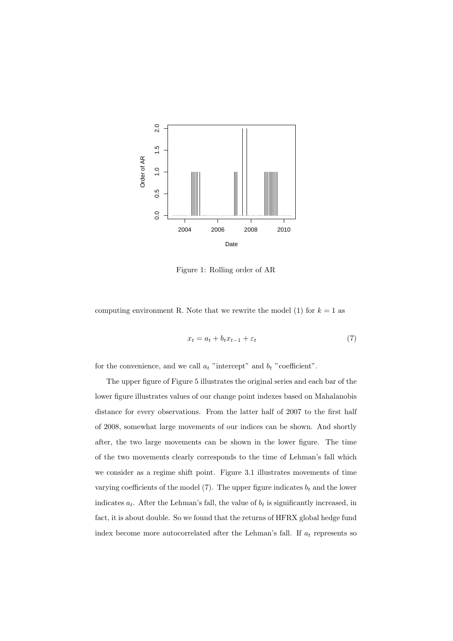

Figure 1: Rolling order of AR

computing environment R. Note that we rewrite the model  $(1)$  for  $k = 1$  as

$$
x_t = a_t + b_t x_{t-1} + \varepsilon_t \tag{7}
$$

for the convenience, and we call  $a_t$  "intercept" and  $b_t$  "coefficient".

The upper figure of Figure 5 illustrates the original series and each bar of the lower figure illustrates values of our change point indexes based on Mahalanobis distance for every observations. From the latter half of 2007 to the first half of 2008, somewhat large movements of our indices can be shown. And shortly after, the two large movements can be shown in the lower figure. The time of the two movements clearly corresponds to the time of Lehman's fall which we consider as a regime shift point. Figure 3.1 illustrates movements of time varying coefficients of the model  $(7)$ . The upper figure indicates  $b_t$  and the lower indicates  $a_t$ . After the Lehman's fall, the value of  $b_t$  is significantly increased, in fact, it is about double. So we found that the returns of HFRX global hedge fund index become more autocorrelated after the Lehman's fall. If  $a_t$  represents so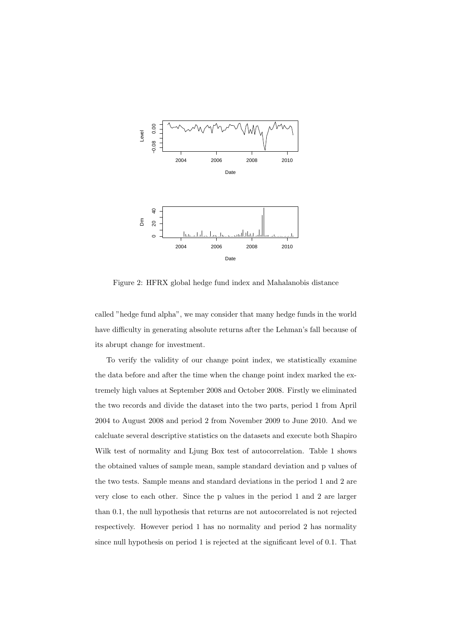

Figure 2: HFRX global hedge fund index and Mahalanobis distance

called "hedge fund alpha", we may consider that many hedge funds in the world have difficulty in generating absolute returns after the Lehman's fall because of its abrupt change for investment.

To verify the validity of our change point index, we statistically examine the data before and after the time when the change point index marked the extremely high values at September 2008 and October 2008. Firstly we eliminated the two records and divide the dataset into the two parts, period 1 from April 2004 to August 2008 and period 2 from November 2009 to June 2010. And we calcluate several descriptive statistics on the datasets and execute both Shapiro Wilk test of normality and Ljung Box test of autocorrelation. Table 1 shows the obtained values of sample mean, sample standard deviation and p values of the two tests. Sample means and standard deviations in the period 1 and 2 are very close to each other. Since the p values in the period 1 and 2 are larger than 0.1, the null hypothesis that returns are not autocorrelated is not rejected respectively. However period 1 has no normality and period 2 has normality since null hypothesis on period 1 is rejected at the significant level of 0.1. That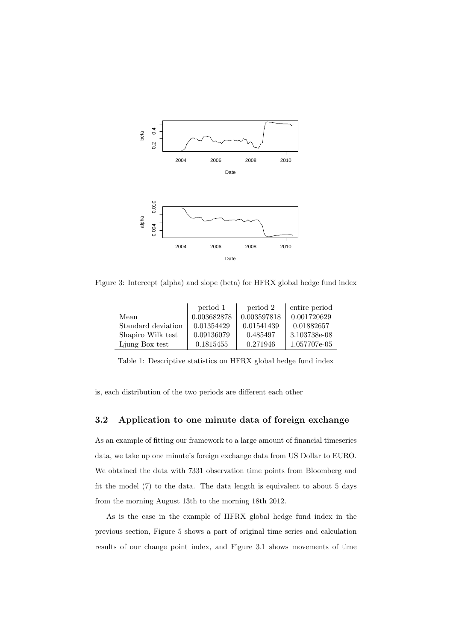

Figure 3: Intercept (alpha) and slope (beta) for HFRX global hedge fund index

|                    | period 1    | period 2    | entire period |
|--------------------|-------------|-------------|---------------|
| Mean               | 0.003682878 | 0.003597818 | 0.001720629   |
| Standard deviation | 0.01354429  | 0.01541439  | 0.01882657    |
| Shapiro Wilk test  | 0.09136079  | 0.485497    | 3.103738e-08  |
| Ljung Box test     | 0.1815455   | 0.271946    | 1.057707e-05  |

Table 1: Descriptive statistics on HFRX global hedge fund index

is, each distribution of the two periods are different each other

#### **3.2 Application to one minute data of foreign exchange**

As an example of fitting our framework to a large amount of financial timeseries data, we take up one minute's foreign exchange data from US Dollar to EURO. We obtained the data with 7331 observation time points from Bloomberg and fit the model (7) to the data. The data length is equivalent to about 5 days from the morning August 13th to the morning 18th 2012.

As is the case in the example of HFRX global hedge fund index in the previous section, Figure 5 shows a part of original time series and calculation results of our change point index, and Figure 3.1 shows movements of time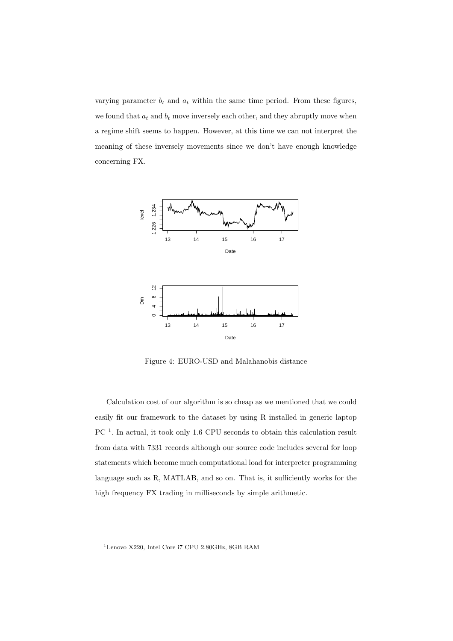varying parameter  $b_t$  and  $a_t$  within the same time period. From these figures, we found that  $a_t$  and  $b_t$  move inversely each other, and they abruptly move when a regime shift seems to happen. However, at this time we can not interpret the meaning of these inversely movements since we don't have enough knowledge concerning FX.



Figure 4: EURO-USD and Malahanobis distance

Calculation cost of our algorithm is so cheap as we mentioned that we could easily fit our framework to the dataset by using R installed in generic laptop PC<sup>1</sup>. In actual, it took only 1.6 CPU seconds to obtain this calculation result from data with 7331 records although our source code includes several for loop statements which become much computational load for interpreter programming language such as R, MATLAB, and so on. That is, it sufficiently works for the high frequency FX trading in milliseconds by simple arithmetic.

<sup>1</sup>Lenovo X220, Intel Core i7 CPU 2.80GHz, 8GB RAM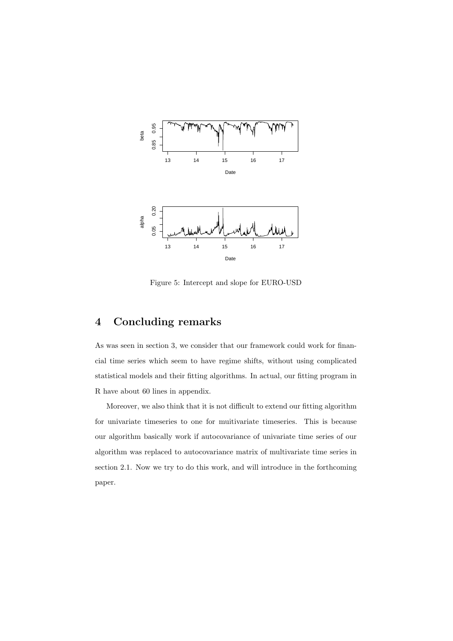

Figure 5: Intercept and slope for EURO-USD

## **4 Concluding remarks**

As was seen in section 3, we consider that our framework could work for financial time series which seem to have regime shifts, without using complicated statistical models and their fitting algorithms. In actual, our fitting program in R have about 60 lines in appendix.

Moreover, we also think that it is not difficult to extend our fitting algorithm for univariate timeseries to one for muitivariate timeseries. This is because our algorithm basically work if autocovariance of univariate time series of our algorithm was replaced to autocovariance matrix of multivariate time series in section 2.1. Now we try to do this work, and will introduce in the forthcoming paper.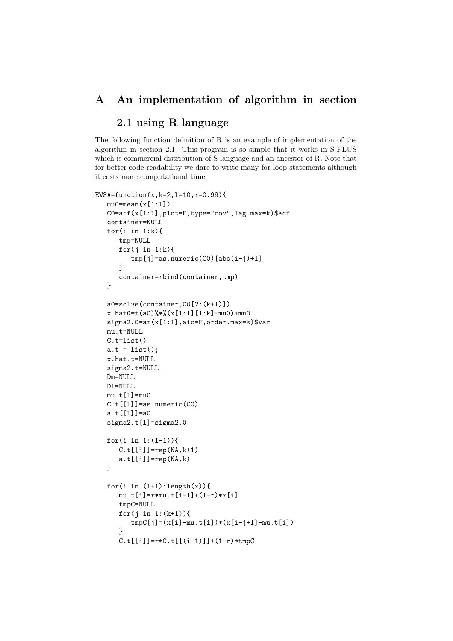#### **A An implementation of algorithm in section**

### **2.1 using R language**

The following function definition of R is an example of implementation of the algorithm in section 2.1. This program is so simple that it works in S-PLUS which is commercial distribution of S language and an ancestor of R. Note that for better code readability we dare to write many for loop statements although it costs more computational time.

```
EWSA=function(x,k=2,l=10,r=0.99){
  mu0 = mean(x[1:1])C0=acf(x[1:l],plot=F,type="cov",lag.max=k)$acf
   container=NULL
   for(i in 1:k}{
      tmp=NULL
      for(j in 1:k){
         tmp[j]=as.numeric(C0)[abs(i-j)+1]}
      container=rbind(container,tmp)
   }
   a0=solve(container,C0[2:(k+1)])
  x.hat0=t(a0)%*%(x[1:1][1:k]-mu0)+mu0sigma2.0=ar(x[1:l],aic=F,order.max=k)$var
  mu.t=NULL
  C.t=list()
   a.t = list();
   x.hat.t=NULL
   sigma2.t=NULL
  Dm=NULL
  Dl=NULL
  mu.t[1]=mu0C.t[[1]]=as.numeric(C0)
   a.t[[l]]=a0
   sigma2.t[l]=sigma2.0
   for(i in 1:(l-1)){
      C.t[[i]]=rep(NA,k+1)a.t[[i]]=rep(NA,k)}
   for(i in (l+1):length(x)){
      mu.t[i]=r*mu.t[i-1]+(1-r)*x[i]tmpC=NULL
      for(j in 1:(k+1)){
         tmpC[j]=(x[i]-mu.t[i])*(x[i-j+1]-mu.t[i])}
      C.t[[i]] = r*C.t[[(i-1)]] + (1-r)*tmpC
```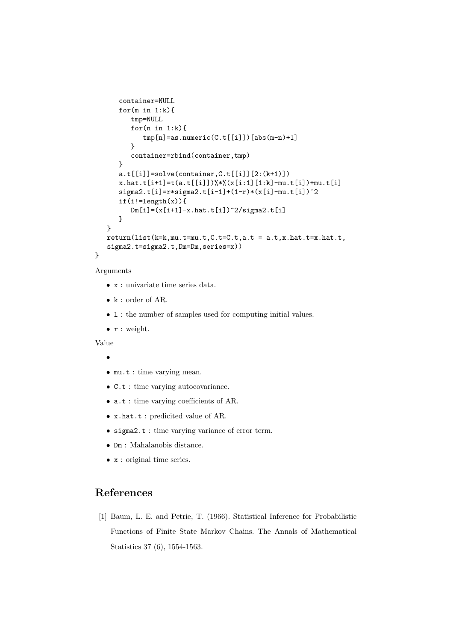```
container=NULL
   for(m \in 1:k){
      tmp=NULL
      for(n in 1:k){
         tmp[n]=as.numeric(C.t[[i]])[abs(m-n)+1]}
      container=rbind(container,tmp)
   }
   a.t[[i]]=solve(container,C.t[[i]][2:(k+1)])
   x.hat.t[i+1]=t(a.t[[i]])\*\(x[i:1][1:k]-mu.t[i])+mu.t[i]signa2.t[i]=r*singma2.t[i-1]+(1-r)*(x[i]-mu.t[i])^2if(i!=length(x)){
      Dm[i]=(x[i+1]-x.hat.t[i])^2/sigma2.t[i]}
}
return(list(k=k,mu.t=mu.t,C.t=C.t,a.t = a.t,x.hat.t=x.hat.t,sigma2.t=sigma2.t,Dm=Dm,series=x))
```
#### Arguments

}

- *•* x : univariate time series data.
- *•* k : order of AR.
- 1 : the number of samples used for computing initial values.
- *•* r : weight.

Value

*•*

- *•* mu.t : time varying mean.
- *•* C.t : time varying autocovariance.
- **a.t** : time varying coefficients of AR.
- *•* x.hat.t : predicited value of AR.
- *•* sigma2.t : time varying variance of error term.
- *•* Dm : Mahalanobis distance.
- *•* x : original time series.

## **References**

[1] Baum, L. E. and Petrie, T. (1966). Statistical Inference for Probabilistic Functions of Finite State Markov Chains. The Annals of Mathematical Statistics 37 (6), 1554-1563.